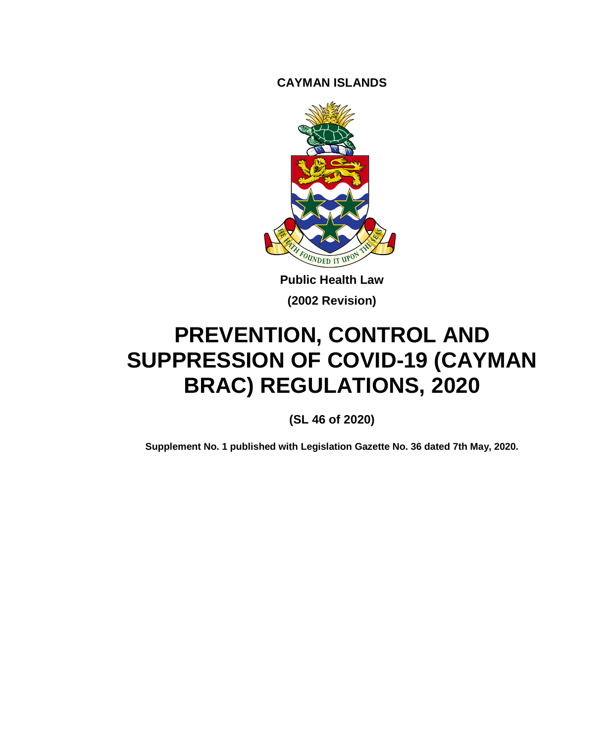**CAYMAN ISLANDS**



**Public Health Law (2002 Revision)**

# **PREVENTION, CONTROL AND SUPPRESSION OF COVID-19 (CAYMAN BRAC) REGULATIONS, 2020**

**(SL 46 of 2020)**

**Supplement No. 1 published with Legislation Gazette No. 36 dated 7th May, 2020.**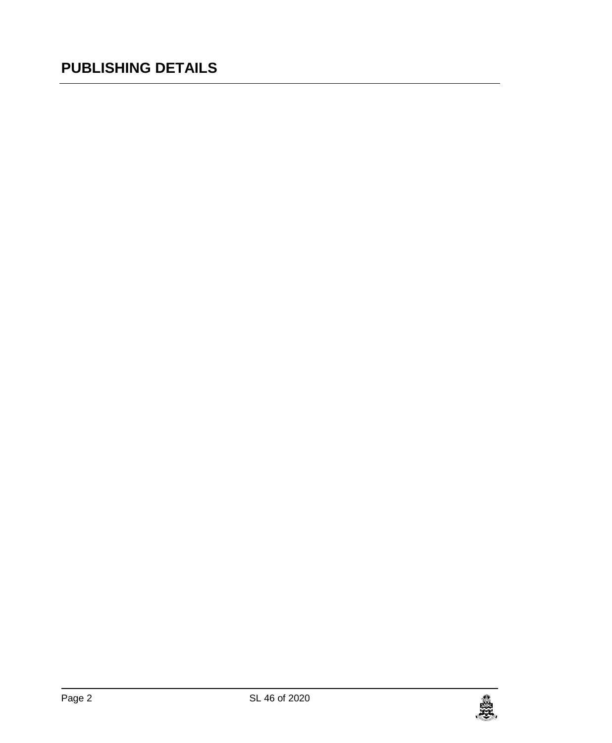# **PUBLISHING DETAILS**

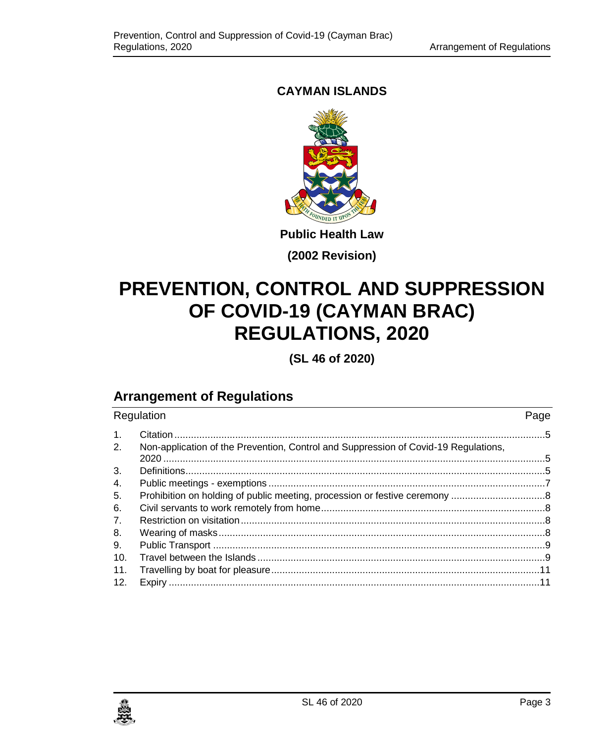## **CAYMAN ISLANDS**



**Public Health Law**

**(2002 Revision)**

# **PREVENTION, CONTROL AND SUPPRESSION OF COVID-19 (CAYMAN BRAC) REGULATIONS, 2020**

**(SL 46 of 2020)**

## **Arrangement of Regulations**

| Regulation |                                                                                     | Page |
|------------|-------------------------------------------------------------------------------------|------|
| 1.         |                                                                                     |      |
| 2.         | Non-application of the Prevention, Control and Suppression of Covid-19 Regulations, |      |
| 3.         |                                                                                     |      |
| 4.         |                                                                                     |      |
| 5.         |                                                                                     |      |
| 6.         |                                                                                     |      |
| 7.         |                                                                                     |      |
| 8.         |                                                                                     |      |
| 9.         |                                                                                     |      |
| 10.        |                                                                                     |      |
| 11.        |                                                                                     |      |
| 12.        |                                                                                     |      |

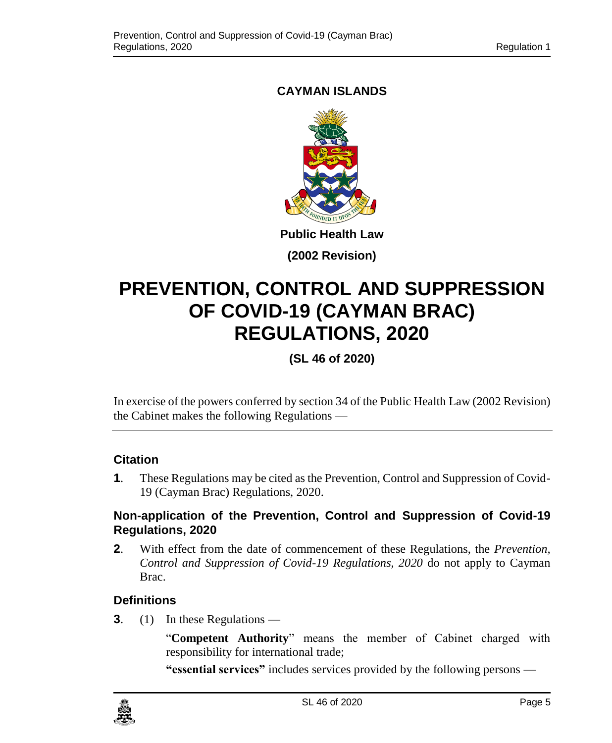## <span id="page-4-0"></span>**CAYMAN ISLANDS**



**(2002 Revision)**

# **PREVENTION, CONTROL AND SUPPRESSION OF COVID-19 (CAYMAN BRAC) REGULATIONS, 2020**

## **(SL 46 of 2020)**

In exercise of the powers conferred by section 34 of the Public Health Law (2002 Revision) the Cabinet makes the following Regulations —

### **1. Citation**

**1**. These Regulations may be cited as the Prevention, Control and Suppression of Covid-19 (Cayman Brac) Regulations, 2020.

#### <span id="page-4-1"></span>**2. Non-application of the Prevention, Control and Suppression of Covid-19 Regulations, 2020**

**2**. With effect from the date of commencement of these Regulations, the *Prevention, Control and Suppression of Covid-19 Regulations, 2020* do not apply to Cayman Brac.

### <span id="page-4-2"></span>**3. Definitions**

**3**. (1) In these Regulations —

"**Competent Authority**" means the member of Cabinet charged with responsibility for international trade;

**"essential services"** includes services provided by the following persons —

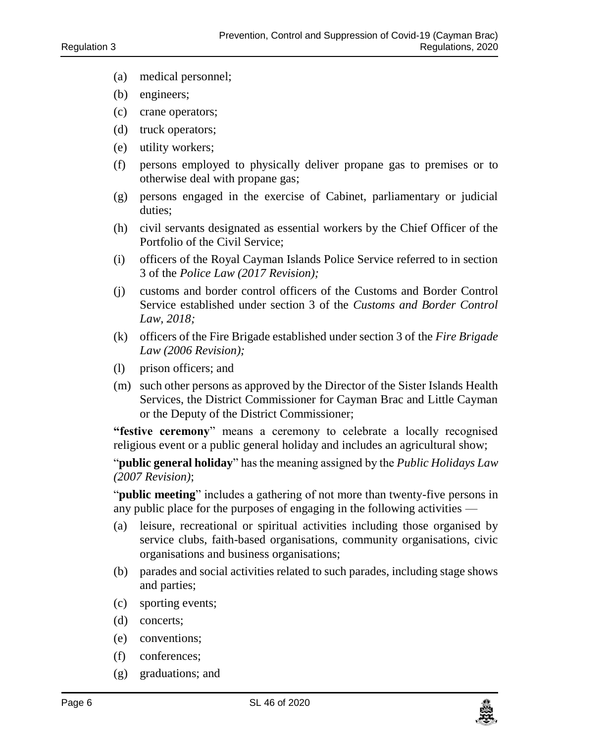- (a) medical personnel;
- (b) engineers;
- (c) crane operators;
- (d) truck operators;
- (e) utility workers;
- (f) persons employed to physically deliver propane gas to premises or to otherwise deal with propane gas;
- (g) persons engaged in the exercise of Cabinet, parliamentary or judicial duties;
- (h) civil servants designated as essential workers by the Chief Officer of the Portfolio of the Civil Service;
- (i) officers of the Royal Cayman Islands Police Service referred to in section 3 of the *Police Law (2017 Revision);*
- (j) customs and border control officers of the Customs and Border Control Service established under section 3 of the *Customs and Border Control Law, 2018;*
- (k) officers of the Fire Brigade established under section 3 of the *Fire Brigade Law (2006 Revision);*
- (l) prison officers; and
- (m) such other persons as approved by the Director of the Sister Islands Health Services, the District Commissioner for Cayman Brac and Little Cayman or the Deputy of the District Commissioner;

**"festive ceremony**" means a ceremony to celebrate a locally recognised religious event or a public general holiday and includes an agricultural show;

"**public general holiday**" has the meaning assigned by the *Public Holidays Law (2007 Revision)*;

"**public meeting**" includes a gathering of not more than twenty-five persons in any public place for the purposes of engaging in the following activities —

- (a) leisure, recreational or spiritual activities including those organised by service clubs, faith-based organisations, community organisations, civic organisations and business organisations;
- (b) parades and social activities related to such parades, including stage shows and parties;
- (c) sporting events;
- (d) concerts;
- (e) conventions;
- (f) conferences;
- (g) graduations; and

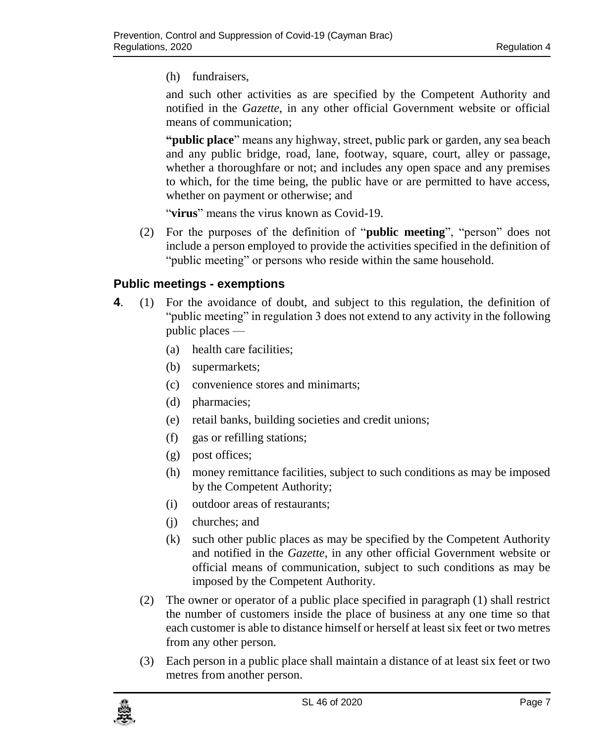(h) fundraisers,

and such other activities as are specified by the Competent Authority and notified in the *Gazette*, in any other official Government website or official means of communication;

**"public place**" means any highway, street, public park or garden, any sea beach and any public bridge, road, lane, footway, square, court, alley or passage, whether a thoroughfare or not; and includes any open space and any premises to which, for the time being, the public have or are permitted to have access, whether on payment or otherwise; and

"**virus**" means the virus known as Covid-19.

(2) For the purposes of the definition of "**public meeting**", "person" does not include a person employed to provide the activities specified in the definition of "public meeting" or persons who reside within the same household.

#### <span id="page-6-0"></span>**4. Public meetings - exemptions**

- **4**. (1) For the avoidance of doubt, and subject to this regulation, the definition of "public meeting" in regulation 3 does not extend to any activity in the following public places —
	- (a) health care facilities;
	- (b) supermarkets;
	- (c) convenience stores and minimarts;
	- (d) pharmacies;
	- (e) retail banks, building societies and credit unions;
	- (f) gas or refilling stations;
	- (g) post offices;
	- (h) money remittance facilities, subject to such conditions as may be imposed by the Competent Authority;
	- (i) outdoor areas of restaurants;
	- (j) churches; and
	- (k) such other public places as may be specified by the Competent Authority and notified in the *Gazette*, in any other official Government website or official means of communication, subject to such conditions as may be imposed by the Competent Authority.
	- (2) The owner or operator of a public place specified in paragraph (1) shall restrict the number of customers inside the place of business at any one time so that each customer is able to distance himself or herself at least six feet or two metres from any other person.
	- (3) Each person in a public place shall maintain a distance of at least six feet or two metres from another person.

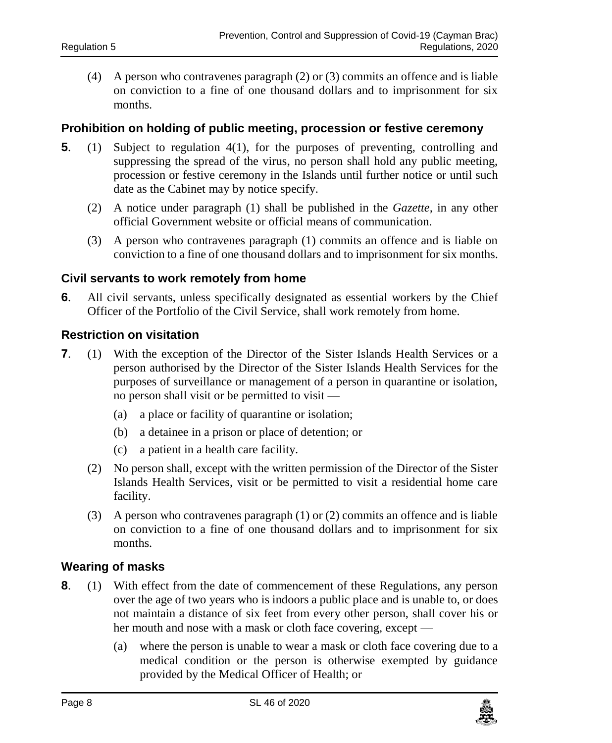(4) A person who contravenes paragraph (2) or (3) commits an offence and is liable on conviction to a fine of one thousand dollars and to imprisonment for six months.

#### <span id="page-7-0"></span>**5. Prohibition on holding of public meeting, procession or festive ceremony**

- **5**. (1) Subject to regulation 4(1), for the purposes of preventing, controlling and suppressing the spread of the virus, no person shall hold any public meeting, procession or festive ceremony in the Islands until further notice or until such date as the Cabinet may by notice specify.
	- (2) A notice under paragraph (1) shall be published in the *Gazette,* in any other official Government website or official means of communication.
	- (3) A person who contravenes paragraph (1) commits an offence and is liable on conviction to a fine of one thousand dollars and to imprisonment for six months.

#### <span id="page-7-1"></span>**6. Civil servants to work remotely from home**

**6**. All civil servants, unless specifically designated as essential workers by the Chief Officer of the Portfolio of the Civil Service, shall work remotely from home.

#### <span id="page-7-2"></span>**7. Restriction on visitation**

- **7.** (1) With the exception of the Director of the Sister Islands Health Services or a person authorised by the Director of the Sister Islands Health Services for the purposes of surveillance or management of a person in quarantine or isolation, no person shall visit or be permitted to visit —
	- (a) a place or facility of quarantine or isolation;
	- (b) a detainee in a prison or place of detention; or
	- (c) a patient in a health care facility.
	- (2) No person shall, except with the written permission of the Director of the Sister Islands Health Services, visit or be permitted to visit a residential home care facility.
	- (3) A person who contravenes paragraph (1) or (2) commits an offence and is liable on conviction to a fine of one thousand dollars and to imprisonment for six months.

#### <span id="page-7-3"></span>**8. Wearing of masks**

- **8**. (1) With effect from the date of commencement of these Regulations, any person over the age of two years who is indoors a public place and is unable to, or does not maintain a distance of six feet from every other person, shall cover his or her mouth and nose with a mask or cloth face covering, except —
	- (a) where the person is unable to wear a mask or cloth face covering due to a medical condition or the person is otherwise exempted by guidance provided by the Medical Officer of Health; or

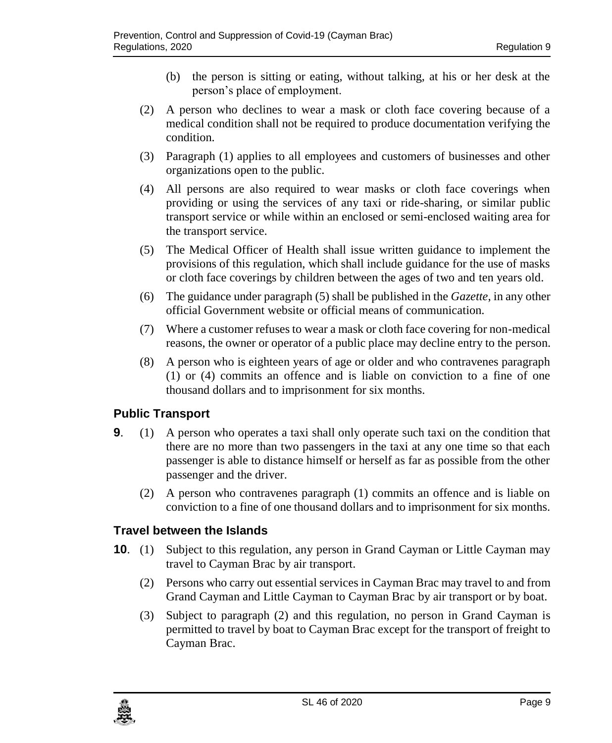- (b) the person is sitting or eating, without talking, at his or her desk at the person's place of employment.
- (2) A person who declines to wear a mask or cloth face covering because of a medical condition shall not be required to produce documentation verifying the condition.
- (3) Paragraph (1) applies to all employees and customers of businesses and other organizations open to the public.
- (4) All persons are also required to wear masks or cloth face coverings when providing or using the services of any taxi or ride-sharing, or similar public transport service or while within an enclosed or semi-enclosed waiting area for the transport service.
- (5) The Medical Officer of Health shall issue written guidance to implement the provisions of this regulation, which shall include guidance for the use of masks or cloth face coverings by children between the ages of two and ten years old.
- (6) The guidance under paragraph (5) shall be published in the *Gazette*, in any other official Government website or official means of communication.
- (7) Where a customer refuses to wear a mask or cloth face covering for non-medical reasons, the owner or operator of a public place may decline entry to the person.
- (8) A person who is eighteen years of age or older and who contravenes paragraph (1) or (4) commits an offence and is liable on conviction to a fine of one thousand dollars and to imprisonment for six months.

#### <span id="page-8-0"></span>**9. Public Transport**

- **9**. (1) A person who operates a taxi shall only operate such taxi on the condition that there are no more than two passengers in the taxi at any one time so that each passenger is able to distance himself or herself as far as possible from the other passenger and the driver.
	- (2) A person who contravenes paragraph (1) commits an offence and is liable on conviction to a fine of one thousand dollars and to imprisonment for six months.

#### <span id="page-8-1"></span>**10. Travel between the Islands**

- **10.** (1) Subject to this regulation, any person in Grand Cayman or Little Cayman may travel to Cayman Brac by air transport.
	- (2) Persons who carry out essential services in Cayman Brac may travel to and from Grand Cayman and Little Cayman to Cayman Brac by air transport or by boat.
	- (3) Subject to paragraph (2) and this regulation, no person in Grand Cayman is permitted to travel by boat to Cayman Brac except for the transport of freight to Cayman Brac.

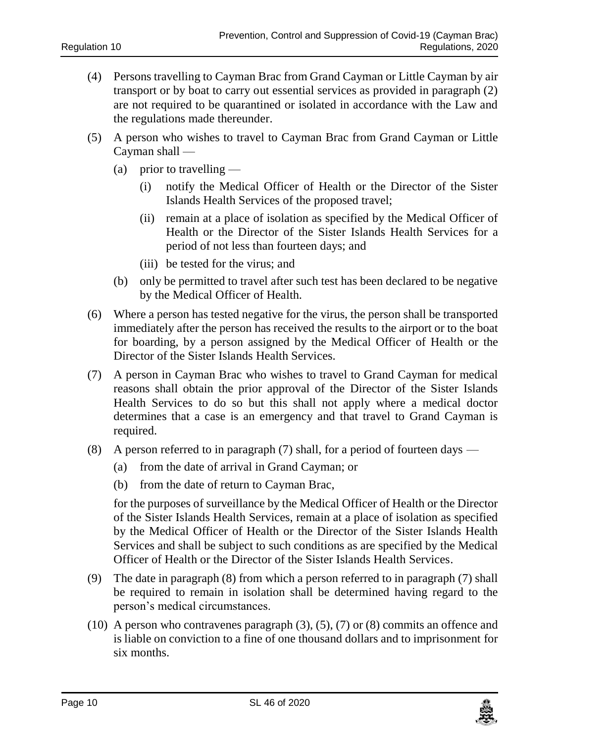- (4) Persons travelling to Cayman Brac from Grand Cayman or Little Cayman by air transport or by boat to carry out essential services as provided in paragraph (2) are not required to be quarantined or isolated in accordance with the Law and the regulations made thereunder.
- (5) A person who wishes to travel to Cayman Brac from Grand Cayman or Little Cayman shall —
	- (a) prior to travelling  $-$ 
		- (i) notify the Medical Officer of Health or the Director of the Sister Islands Health Services of the proposed travel;
		- (ii) remain at a place of isolation as specified by the Medical Officer of Health or the Director of the Sister Islands Health Services for a period of not less than fourteen days; and
		- (iii) be tested for the virus; and
	- (b) only be permitted to travel after such test has been declared to be negative by the Medical Officer of Health.
- (6) Where a person has tested negative for the virus, the person shall be transported immediately after the person has received the results to the airport or to the boat for boarding, by a person assigned by the Medical Officer of Health or the Director of the Sister Islands Health Services.
- (7) A person in Cayman Brac who wishes to travel to Grand Cayman for medical reasons shall obtain the prior approval of the Director of the Sister Islands Health Services to do so but this shall not apply where a medical doctor determines that a case is an emergency and that travel to Grand Cayman is required.
- (8) A person referred to in paragraph (7) shall, for a period of fourteen days
	- (a) from the date of arrival in Grand Cayman; or
	- (b) from the date of return to Cayman Brac,

for the purposes of surveillance by the Medical Officer of Health or the Director of the Sister Islands Health Services, remain at a place of isolation as specified by the Medical Officer of Health or the Director of the Sister Islands Health Services and shall be subject to such conditions as are specified by the Medical Officer of Health or the Director of the Sister Islands Health Services.

- (9) The date in paragraph (8) from which a person referred to in paragraph (7) shall be required to remain in isolation shall be determined having regard to the person's medical circumstances.
- $(10)$  A person who contravenes paragraph  $(3)$ ,  $(5)$ ,  $(7)$  or  $(8)$  commits an offence and is liable on conviction to a fine of one thousand dollars and to imprisonment for six months.